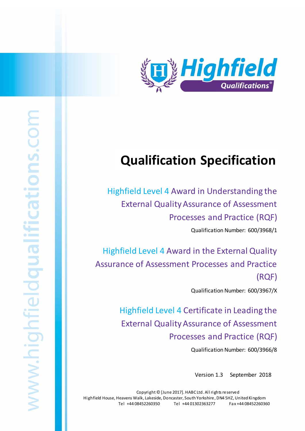

# **Qualification Specification**

Highfield Level 4 Award in Understanding the External Quality Assurance of Assessment Processes and Practice (RQF)

Qualification Number: 600/3968/1

Highfield Level 4 Award in the External Quality Assurance of Assessment Processes and Practice (RQF)

Qualification Number: 600/3967/X

Highfield Level 4 Certificate in Leading the External Quality Assurance of Assessment Processes and Practice (RQF)

Qualification Number: 600/3966/8

Version 1.3 September 2018

Copyright © [June 2017]. HABC Ltd. All rights reserved Highfield House, Heavens Walk, Lakeside, Doncaster, South Yorkshire, DN4 5HZ, United Kingdom Tel +44 08452260350 Tel +44 01302363277 Fax +44 08452260360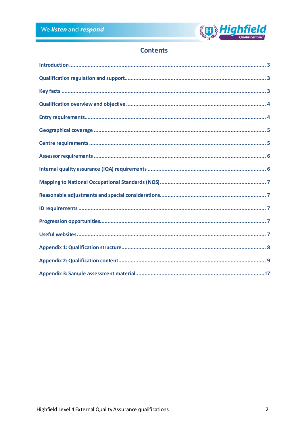

# **Contents**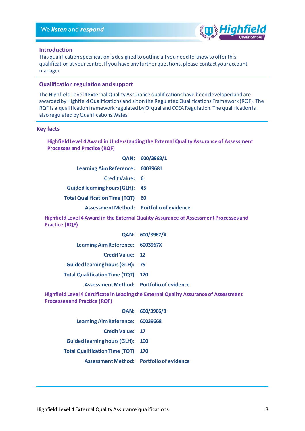

#### <span id="page-2-0"></span>**Introduction**

This qualification specification is designed to outline all you need to know to offer this qualification at your centre. If you have any further questions, please contact your account manager

# <span id="page-2-1"></span>**Qualification regulation and support**

The Highfield Level 4 External Quality Assurance qualifications have been developed and are awarded by Highfield Qualifications and sit on the Regulated Qualifications Framework (RQF). The RQF is a qualification framework regulated by Ofqual and CCEA Regulation. The qualification is also regulated by Qualifications Wales.

#### <span id="page-2-2"></span>**Key facts**

**Highfield Level 4 Award in Understanding the External Quality Assurance of Assessment Processes and Practice (RQF)**

|                                                                                                                | QAN: 600/3968/1 |  |
|----------------------------------------------------------------------------------------------------------------|-----------------|--|
| Learning Aim Reference: 60039681                                                                               |                 |  |
| Credit Value: 6                                                                                                |                 |  |
| <b>Guided learning hours (GLH):</b>                                                                            | - 45            |  |
| <b>Total Qualification Time (TQT)</b>                                                                          | 60              |  |
| Assessment Method: Portfolio of evidence                                                                       |                 |  |
| Highfield Level 4 Award in the External Quality Assurance of Assessment Processes and<br><b>Practice (RQF)</b> |                 |  |
|                                                                                                                | QAN: 600/3967/X |  |
| Learning Aim Reference: 6003967X                                                                               |                 |  |

**Credit Value: 12**

**Guided learning hours (GLH): 75**

**Total Qualification Time (TQT) 120**

**Assessment Method: Portfolio of evidence**

**Highfield Level 4 Certificate in Leading the External Quality Assurance of Assessment Processes and Practice (RQF)**

|                                          | QAN: 600/3966/8 |
|------------------------------------------|-----------------|
| Learning Aim Reference: 60039668         |                 |
| Credit Value: 17                         |                 |
| <b>Guided learning hours (GLH):</b>      | <b>100</b>      |
| <b>Total Qualification Time (TQT)</b>    | 170             |
| Assessment Method: Portfolio of evidence |                 |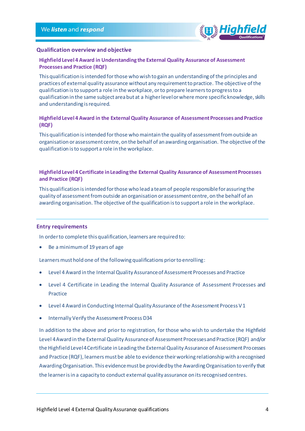

## <span id="page-3-0"></span>**Qualification overview and objective**

# **Highfield Level 4 Award in Understanding the External Quality Assurance of Assessment Processes and Practice (RQF)**

This qualification is intended for those who wish to gain an understanding of the principles and practices of external quality assurance without any requirement to practice. The objective of the qualification is to support a role in the workplace, or to prepare learners to progress to a qualification in the same subject area but at a higher level or where more specific knowledge, skills and understanding is required.

# **Highfield Level 4 Award in the External Quality Assurance of Assessment Processes and Practice (RQF)**

This qualification is intended for those who maintain the quality of assessment from outside an organisation or assessment centre, on the behalf of an awarding organisation. The objective of the qualification is to support a role in the workplace.

# **Highfield Level 4 Certificate in Leading the External Quality Assurance of Assessment Processes and Practice (RQF)**

This qualification is intended for those who lead a team of people responsible for assuring the quality of assessment from outside an organisation or assessment centre, on the behalf of an awarding organisation. The objective of the qualification is to support a role in the workplace.

## <span id="page-3-1"></span>**Entry requirements**

In order to complete this qualification, learners are required to:

Be a minimum of 19 years of age

Learners must hold one of the following qualifications prior to enrolling:

- Level 4 Award in the Internal Quality Assurance of Assessment Processes and Practice
- Level 4 Certificate in Leading the Internal Quality Assurance of Assessment Processes and Practice
- Level 4 Award in Conducting Internal Quality Assurance of the Assessment Process V1
- Internally Verify the Assessment Process D34

In addition to the above and prior to registration, for those who wish to undertake the Highfield Level 4 Award in the External Quality Assurance of Assessment Processes and Practice (RQF) and/or the Highfield Level 4 Certificate in Leading the External Quality Assurance of Assessment Processes and Practice (RQF), learners must be able to evidence their working relationship with a recognised Awarding Organisation. This evidence must be provided by the Awarding Organisation to verify that the learner is in a capacity to conduct external quality assurance on its recognised centres.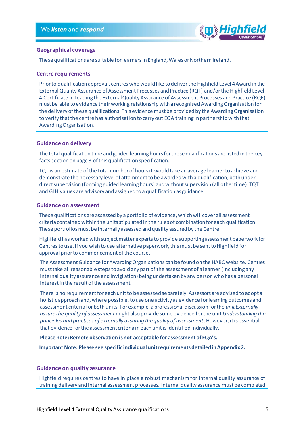

#### <span id="page-4-0"></span>**Geographical coverage**

These qualifications are suitable for learners in England, Wales or Northern Ireland.

#### <span id="page-4-1"></span>**Centre requirements**

Prior to qualification approval, centres who would like to deliver the Highfield Level 4 Award in the External Quality Assurance of Assessment Processes and Practice (RQF) and/or the Highfield Level 4 Certificate in Leading the External Quality Assurance of Assessment Processes and Practice (RQF) must be able to evidence their working relationship with a recognised Awarding Organisation for the delivery of these qualifications. This evidence must be provided by the Awarding Organisation to verify that the centre has authorisation to carry out EQA training in partnership with that Awarding Organisation.

## **Guidance on delivery**

The total qualification time and guided learning hours for these qualifications are listed in the key facts section on page 3 of this qualification specification.

TQT is an estimate of the total number of hours it would take an average learner to achieve and demonstrate the necessary level of attainment to be awarded with a qualification, both under direct supervision (forming guided learning hours) and without supervision (all other time). TQT and GLH values are advisory and assigned to a qualification as guidance.

#### **Guidance on assessment**

These qualifications are assessed by a portfolio of evidence, which will cover all assessment criteria contained within the units stipulated in the rules of combination for each qualification. These portfolios must be internally assessed and quality assured by the Centre.

Highfield has worked with subject matter experts to provide supporting assessment paperwork for Centres to use. If you wish to use alternative paperwork, this must be sent to Highfield for approval prior to commencement of the course.

The Assessment Guidance for Awarding Organisations can be found on the HABC website. Centres must take all reasonable steps to avoid any part of the assessment of a learner (including any internal quality assurance and invigilation) being undertaken by any person who has a personal interest in the result of the assessment.

There is no requirement for each unit to be assessed separately. Assessors are advised to adopt a holistic approach and, where possible, to use one activity as evidence for learning outcomes and assessment criteria for both units. For example, a professional discussion for the *unit Externally assure the quality of assessment* might also provide some evidence for the unit *Understanding the principles and practices of externally assuring the quality of assessment*. However, it is essential that evidence for the assessment criteria in each unit is identified individually.

**Please note: Remote observation is not acceptable for assessment of EQA's.**

**Important Note: Please see specific individual unit requirements detailed in Appendix 2.**

#### **Guidance on quality assurance**

Highfield requires centres to have in place a robust mechanism for internal quality assurance of training delivery and internal assessment processes. Internal quality assurance must be completed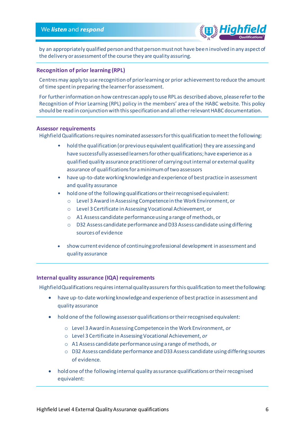

by an appropriately qualified person and that person must not have been involved in any aspect of the delivery or assessment of the course they are quality assuring.

## **Recognition of prior learning (RPL)**

Centres may apply to use recognition of prior learning or prior achievement to reduce the amount of time spent in preparing the learner for assessment.

For further information on how centres can apply to use RPL as described above, please refer to the Recognition of Prior Learning (RPL) policy in the members' area of the HABC website. This policy should be read in conjunction with this specification and all other relevant HABC documentation.

#### <span id="page-5-0"></span>**Assessor requirements**

Highfield Qualifications requires nominated assessors for this qualification to meet the following:

- hold the qualification (or previous equivalent qualification) they are assessing and have successfully assessed learners for other qualifications; have experience as a qualified quality assurance practitioner of carrying out internal or external quality assurance of qualifications for a minimum of two assessors
- have up-to-date working knowledge and experience of best practice in assessment and quality assurance
- hold one of the following qualifications or their recognised equivalent:
	- o Level 3 Award in Assessing Competence in the Work Environment, or
	- o Level 3 Certificate in Assessing Vocational Achievement, or
	- o A1 Assess candidate performance using a range of methods, or
	- o D32 Assess candidate performance and D33 Assess candidate using differing sources of evidence
- show current evidence of continuing professional development in assessment and quality assurance

## <span id="page-5-1"></span>**Internal quality assurance (IQA) requirements**

Highfield Qualifications requires internal quality assurers for this qualification to meet the following:

- have up-to-date working knowledge and experience of best practice in assessment and quality assurance
- hold one of the following assessor qualifications or their recognised equivalent:
	- o Level 3 Award in Assessing Competence in the Work Environment, *or*
	- o Level 3 Certificate in Assessing Vocational Achievement, *or*
	- o A1 Assess candidate performance using a range of methods, *or*
	- o D32 Assess candidate performance and D33 Assess candidate using differing sources of evidence.
- hold one of the following internal quality assurance qualifications or their recognised equivalent: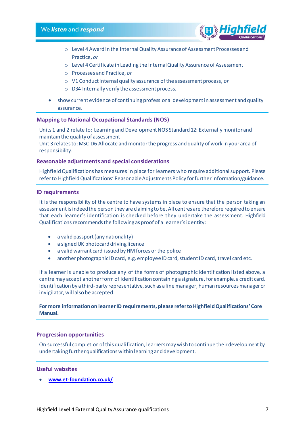

- o Level 4 Award in the Internal Quality Assurance of Assessment Processes and Practice, *or*
- o Level 4 Certificate in Leading the Internal Quality Assurance of Assessment
- o Processes and Practice, *or*
- o V1 Conduct internal quality assurance of the assessment process, *or*
- o D34 Internally verify the assessment process.
- show current evidence of continuing professional development in assessment and quality assurance.

#### <span id="page-6-0"></span>**Mapping to National Occupational Standards (NOS)**

Units 1 and 2 relate to: Learning and Development NOS Standard 12: Externally monitor and maintain the quality of assessment

Unit 3 relates to: MSC D6 Allocate and monitor the progress and quality of work in your area of responsibility.

## <span id="page-6-1"></span>**Reasonable adjustments and special considerations**

Highfield Qualifications has measures in place for learners who require additional support. Please refer to Highfield Qualifications' Reasonable Adjustments Policy for further information/guidance.

#### <span id="page-6-2"></span>**ID requirements**

It is the responsibility of the centre to have systems in place to ensure that the person taking an assessment is indeed the person they are claiming to be. All centres are therefore required to ensure that each learner's identification is checked before they undertake the assessment. Highfield Qualifications recommends the following as proof of a learner's identity:

- a valid passport (any nationality)
- a signed UK photocard driving licence
- a valid warrant card issued by HM forces or the police
- another photographic ID card, e.g. employee ID card, student ID card, travel card etc.

If a learner is unable to produce any of the forms of photographic identification listed above, a centre may accept another form of identification containing a signature, for example, a credit card. Identification by a third-party representative, such as a line manager, human resources manager or invigilator, will also be accepted.

## **For more information on learner ID requirements, please refer to Highfield Qualifications' Core Manual.**

#### <span id="page-6-3"></span>**Progression opportunities**

On successful completion of this qualification, learners may wish to continue their development by undertaking further qualifications within learning and development.

#### <span id="page-6-4"></span>**Useful websites**

• **[www.et-foundation.co.uk/](http://www.et-foundation.co.uk/)**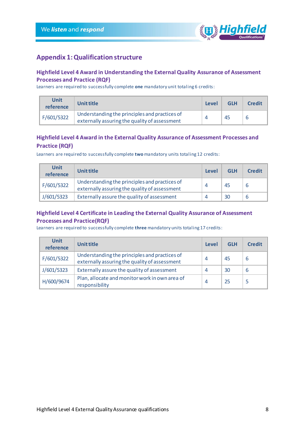

# <span id="page-7-0"></span>**Appendix 1: Qualification structure**

# **Highfield Level 4 Award in Understanding the External Quality Assurance of Assessment Processes and Practice (RQF)**

Learners are required to successfully complete **one** mandatory unit totaling 6 credits:

| Unit<br>reference | <b>Unit title</b>                                                                              | Level | <b>GLH</b> | <b>Credit</b> |
|-------------------|------------------------------------------------------------------------------------------------|-------|------------|---------------|
| F/601/5322        | Understanding the principles and practices of<br>externally assuring the quality of assessment |       | 45         | b             |

# **Highfield Level 4 Award in the External Quality Assurance of Assessment Processes and Practice (RQF)**

Learners are required to successfully complete **two**mandatory units totaling 12 credits:

| <b>Unit</b><br>reference | Unit title                                                                                     |   | <b>GLH</b> | <b>Credit</b> |
|--------------------------|------------------------------------------------------------------------------------------------|---|------------|---------------|
| F/601/5322               | Understanding the principles and practices of<br>externally assuring the quality of assessment | 4 | 45         | 6             |
| J/601/5323               | Externally assure the quality of assessment                                                    | 4 | 30         | ь             |

# **Highfield Level 4 Certificate in Leading the External Quality Assurance of Assessment Processes and Practice(RQF)**

Learners are required to successfully complete **three** mandatory units totaling 17 credits:

| <b>Unit</b><br>reference                                                                                     | <b>Unit title</b>                                                |                | <b>GLH</b> | <b>Credit</b> |
|--------------------------------------------------------------------------------------------------------------|------------------------------------------------------------------|----------------|------------|---------------|
| Understanding the principles and practices of<br>F/601/5322<br>externally assuring the quality of assessment |                                                                  | $\overline{4}$ | 45         | 6             |
| J/601/5323<br>Externally assure the quality of assessment                                                    |                                                                  | 4              | 30         | -6            |
| H/600/9674                                                                                                   | Plan, allocate and monitor work in own area of<br>responsibility | $\overline{4}$ | 25         |               |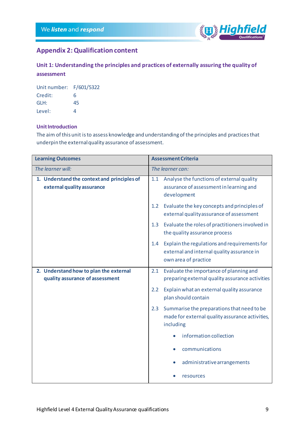

# <span id="page-8-0"></span>**Appendix 2:Qualification content**

# **Unit 1: Understanding the principles and practices of externally assuring the quality of assessment**

| Unit number: F/601/5322 |    |
|-------------------------|----|
| Credit:                 | 6  |
| GLH:                    | 45 |
| Level:                  | Δ  |

# **Unit Introduction**

The aim of this unit is to assess knowledge and understanding of the principles and practices that underpin the external quality assurance of assessment.

| <b>Learning Outcomes</b>                                                  | <b>Assessment Criteria</b>                                                                                                |  |
|---------------------------------------------------------------------------|---------------------------------------------------------------------------------------------------------------------------|--|
| The learner will:                                                         | The learner can:                                                                                                          |  |
| 1. Understand the context and principles of<br>external quality assurance | Analyse the functions of external quality<br>1.1<br>assurance of assessment in learning and<br>development                |  |
|                                                                           | Evaluate the key concepts and principles of<br>1.2<br>external quality assurance of assessment                            |  |
|                                                                           | Evaluate the roles of practitioners involved in<br>1.3<br>the quality assurance process                                   |  |
|                                                                           | Explain the regulations and requirements for<br>1.4<br>external and internal quality assurance in<br>own area of practice |  |
| 2. Understand how to plan the external<br>quality assurance of assessment | Evaluate the importance of planning and<br>2.1<br>preparing external quality assurance activities                         |  |
|                                                                           | Explain what an external quality assurance<br>2.2<br>plan should contain                                                  |  |
|                                                                           | Summarise the preparations that need to be<br>2.3<br>made for external quality assurance activities,<br>including         |  |
|                                                                           | information collection                                                                                                    |  |
|                                                                           | communications                                                                                                            |  |
|                                                                           | administrative arrangements                                                                                               |  |
|                                                                           | resources                                                                                                                 |  |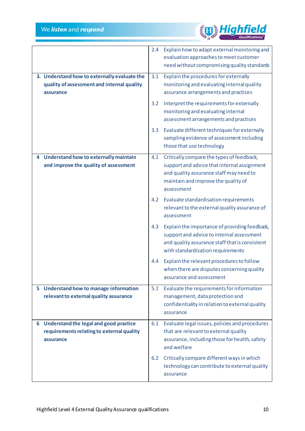

|    |                                                                                                         | 2.4 | Explain how to adapt external monitoring and<br>evaluation approaches to meet customer<br>need without compromising quality standards                                                    |
|----|---------------------------------------------------------------------------------------------------------|-----|------------------------------------------------------------------------------------------------------------------------------------------------------------------------------------------|
|    | 3. Understand how to externally evaluate the<br>quality of assessment and internal quality<br>assurance | 3.1 | Explain the procedures for externally<br>monitoring and evaluating internal quality<br>assurance arrangements and practices                                                              |
|    |                                                                                                         | 3.2 | Interpret the requirements for externally<br>monitoring and evaluating internal<br>assessment arrangements and practices                                                                 |
|    |                                                                                                         | 3.3 | Evaluate different techniques for externally<br>sampling evidence of assessment including<br>those that use technology                                                                   |
|    | 4 Understand how to externally maintain<br>and improve the quality of assessment                        | 4.1 | Critically compare the types of feedback,<br>support and advice that internal assignment<br>and quality assurance staff may need to<br>maintain and improve the quality of<br>assessment |
|    |                                                                                                         | 4.2 | Evaluate standardisation requirements<br>relevant to the external quality assurance of<br>assessment                                                                                     |
|    |                                                                                                         | 4.3 | Explain the importance of providing feedback,<br>support and advice to internal assessment<br>and quality assurance staff that is consistent<br>with standardisation requirements        |
|    |                                                                                                         | 4.4 | Explain the relevant procedures to follow<br>when there are disputes concerning quality<br>assurance and assessment                                                                      |
| 5. | <b>Understand how to manage information</b><br>relevant to external quality assurance                   | 5.1 | Evaluate the requirements for information<br>management, data protection and<br>confidentiality in relation to external quality<br>assurance                                             |
|    | 6 Understand the legal and good practice                                                                | 6.1 | Evaluate legal issues, policies and procedures                                                                                                                                           |
|    | requirements relating to external quality<br>assurance                                                  |     | that are relevant to external quality<br>assurance, including those for health, safety<br>and welfare                                                                                    |
|    |                                                                                                         | 6.2 | Critically compare different ways in which<br>technology can contribute to external quality<br>assurance                                                                                 |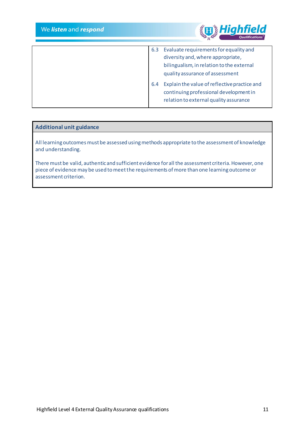We listen and respond



| 6.3 | Evaluate requirements for equality and                                                                                           |
|-----|----------------------------------------------------------------------------------------------------------------------------------|
|     | diversity and, where appropriate,                                                                                                |
|     | bilingualism, in relation to the external                                                                                        |
|     | quality assurance of assessment                                                                                                  |
| 6.4 | Explain the value of reflective practice and<br>continuing professional development in<br>relation to external quality assurance |
|     |                                                                                                                                  |

# **Additional unit guidance**

All learning outcomes must be assessed using methods appropriate to the assessment of knowledge and understanding.

There must be valid, authentic and sufficient evidence for all the assessment criteria. However, one piece of evidence may be used to meet the requirements of more than one learning outcome or assessment criterion.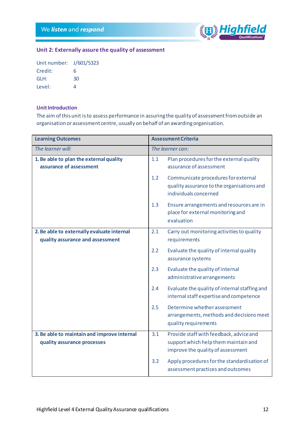

# **Unit 2: Externally assure the quality of assessment**

| Unit number: J/601/5323 |    |
|-------------------------|----|
| Credit:                 | 6  |
| GLH:                    | 30 |
| Level:                  | 4  |

## **Unit Introduction**

The aim of this unit is to assess performance in assuring the quality of assessment from outside an organisation or assessment centre, usually on behalf of an awarding organisation.

| <b>Learning Outcomes</b>                                                       | <b>Assessment Criteria</b>                                                                                        |  |  |
|--------------------------------------------------------------------------------|-------------------------------------------------------------------------------------------------------------------|--|--|
| The learner will:                                                              | The learner can:                                                                                                  |  |  |
| 1. Be able to plan the external quality<br>assurance of assessment             | Plan procedures for the external quality<br>1.1<br>assurance of assessment                                        |  |  |
|                                                                                | 1.2<br>Communicate procedures for external<br>quality assurance to the organisations and<br>individuals concerned |  |  |
|                                                                                | Ensure arrangements and resources are in<br>1.3<br>place for external monitoring and<br>evaluation                |  |  |
| 2. Be able to externally evaluate internal<br>quality assurance and assessment | 2.1<br>Carry out monitoring activities to quality<br>requirements                                                 |  |  |
|                                                                                | 2.2<br>Evaluate the quality of internal quality<br>assurance systems                                              |  |  |
|                                                                                | 2.3<br>Evaluate the quality of internal<br>administrative arrangements                                            |  |  |
|                                                                                | Evaluate the quality of internal staffing and<br>2.4<br>internal staff expertise and competence                   |  |  |
|                                                                                | Determine whether assessment<br>2.5<br>arrangements, methods and decisions meet<br>quality requirements           |  |  |
| 3. Be able to maintain and improve internal                                    | Provide staff with feedback, advice and<br>3.1                                                                    |  |  |
| quality assurance processes                                                    | support which help them maintain and<br>improve the quality of assessment                                         |  |  |
|                                                                                | Apply procedures for the standardisation of<br>3.2<br>assessment practices and outcomes                           |  |  |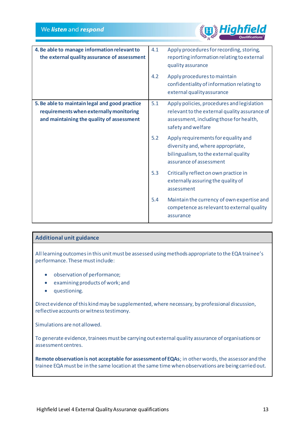

|                                                                                              | 4.1 |                                                                                                                                              |
|----------------------------------------------------------------------------------------------|-----|----------------------------------------------------------------------------------------------------------------------------------------------|
| 4. Be able to manage information relevant to<br>the external quality assurance of assessment |     | Apply procedures for recording, storing,<br>reporting information relating to external<br>quality assurance                                  |
|                                                                                              | 4.2 | Apply procedures to maintain<br>confidentiality of information relating to<br>external quality assurance                                     |
| 5. Be able to maintain legal and good practice                                               | 5.1 | Apply policies, procedures and legislation                                                                                                   |
| requirements when externally monitoring                                                      |     | relevant to the external quality assurance of                                                                                                |
| and maintaining the quality of assessment                                                    |     | assessment, including those for health,<br>safety and welfare                                                                                |
|                                                                                              | 5.2 | Apply requirements for equality and<br>diversity and, where appropriate,<br>bilingualism, to the external quality<br>assurance of assessment |
|                                                                                              | 5.3 | Critically reflect on own practice in<br>externally assuring the quality of<br>assessment                                                    |
|                                                                                              | 5.4 | Maintain the currency of own expertise and<br>competence as relevant to external quality<br>assurance                                        |

# **Additional unit guidance**

All learning outcomes in this unit must be assessed using methods appropriate to the EQA trainee's performance. These must include:

- observation of performance;
- examining products of work; and
- questioning.

Direct evidence of this kind may be supplemented, where necessary, by professional discussion, reflective accounts or witness testimony.

Simulations are not allowed.

To generate evidence, trainees must be carrying out external quality assurance of organisations or assessment centres.

Remote observation is not acceptable for assessment of EQAs; in other words, the assessor and the trainee EQA must be in the same location at the same time when observations are being carried out.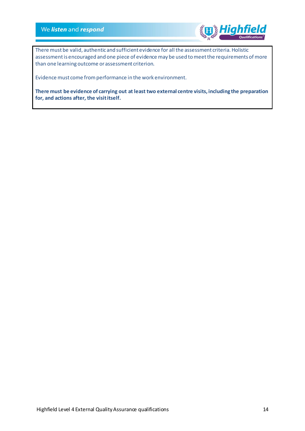# We listen and respond



There must be valid, authentic and sufficient evidence for all the assessment criteria. Holistic assessment is encouraged and one piece of evidence may be used to meet the requirements of more than one learning outcome or assessment criterion.

Evidence must come from performance in the work environment.

**There must be evidence of carrying out at least two external centre visits, including the preparation for, and actions after, the visit itself.**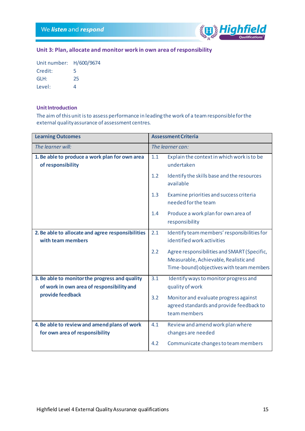

# **Unit 3: Plan, allocate and monitor work in own area of responsibility**

| Unit number: H/600/9674 |    |  |  |
|-------------------------|----|--|--|
| Credit:                 | 5  |  |  |
| GLH:                    | 25 |  |  |
| Level:                  | 4  |  |  |

# **Unit Introduction**

The aim of this unit is to assess performance in leading the work of a team responsible for the external quality assurance of assessment centres.

| <b>Learning Outcomes</b>                                                                                                                                         | <b>Assessment Criteria</b>            |                                                                                                                                  |  |
|------------------------------------------------------------------------------------------------------------------------------------------------------------------|---------------------------------------|----------------------------------------------------------------------------------------------------------------------------------|--|
| The learner will:                                                                                                                                                | The learner can:                      |                                                                                                                                  |  |
| 1. Be able to produce a work plan for own area<br>of responsibility                                                                                              | 1.1                                   | Explain the context in which work is to be<br>undertaken                                                                         |  |
|                                                                                                                                                                  | 1.2                                   | Identify the skills base and the resources<br>available                                                                          |  |
|                                                                                                                                                                  | 1.3                                   | Examine priorities and success criteria<br>needed for the team                                                                   |  |
|                                                                                                                                                                  | 1.4                                   | Produce a work plan for own area of<br>responsibility                                                                            |  |
| 2. Be able to allocate and agree responsibilities<br>with team members                                                                                           | 2.1                                   | Identify team members' responsibilities for<br>identified work activities                                                        |  |
|                                                                                                                                                                  | 2.2                                   | Agree responsibilities and SMART (Specific,<br>Measurable, Achievable, Realistic and<br>Time-bound) objectives with team members |  |
| 3. Be able to monitor the progress and quality<br>3.1<br>of work in own area of responsibility and<br>quality of work<br>provide feedback<br>3.2<br>team members | Identify ways to monitor progress and |                                                                                                                                  |  |
|                                                                                                                                                                  |                                       | Monitor and evaluate progress against<br>agreed standards and provide feedback to                                                |  |
| 4. Be able to review and amend plans of work                                                                                                                     | 4.1                                   | Review and amend work plan where                                                                                                 |  |
| for own area of responsibility                                                                                                                                   |                                       | changes are needed                                                                                                               |  |
|                                                                                                                                                                  | 4.2                                   | Communicate changes to team members                                                                                              |  |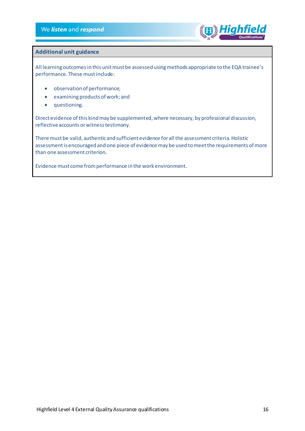

# **Additional unit guidance**

All learning outcomes in this unit must be assessed using methods appropriate to the EQA trainee's performance. These must include:

- observation of performance;
- examining products of work; and
- questioning.

Direct evidence of this kind may be supplemented, where necessary, by professional discussion, reflective accounts or witness testimony.

There must be valid, authentic and sufficient evidence for all the assessment criteria. Holistic assessment is encouraged and one piece of evidence may be used to meet the requirements of more than one assessment criterion.

Evidence must come from performance in the work environment.